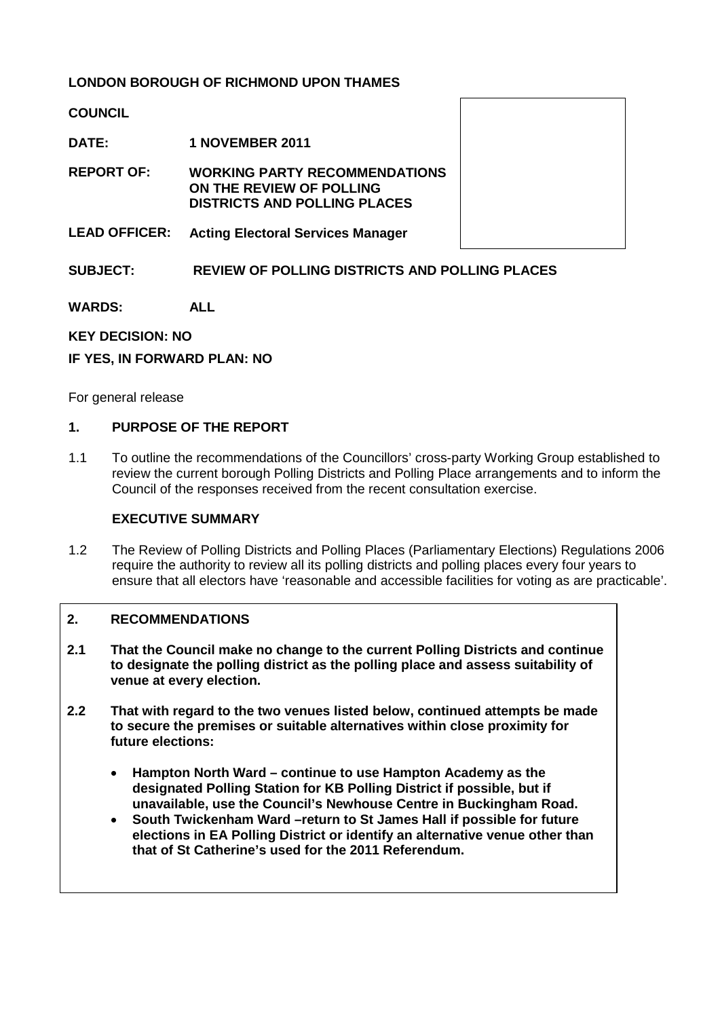# **LONDON BOROUGH OF RICHMOND UPON THAMES**

**COUNCIL**

**DATE: 1 NOVEMBER 2011**

**REPORT OF: WORKING PARTY RECOMMENDATIONS ON THE REVIEW OF POLLING DISTRICTS AND POLLING PLACES**

**LEAD OFFICER: Acting Electoral Services Manager**

## **SUBJECT: REVIEW OF POLLING DISTRICTS AND POLLING PLACES**

**WARDS: ALL**

#### **KEY DECISION: NO**

#### **IF YES, IN FORWARD PLAN: NO**

For general release

#### **1. PURPOSE OF THE REPORT**

1.1 To outline the recommendations of the Councillors' cross-party Working Group established to review the current borough Polling Districts and Polling Place arrangements and to inform the Council of the responses received from the recent consultation exercise.

#### **EXECUTIVE SUMMARY**

1.2 The Review of Polling Districts and Polling Places (Parliamentary Elections) Regulations 2006 require the authority to review all its polling districts and polling places every four years to ensure that all electors have 'reasonable and accessible facilities for voting as are practicable'.

### **2. RECOMMENDATIONS**

- **2.1 That the Council make no change to the current Polling Districts and continue to designate the polling district as the polling place and assess suitability of venue at every election.**
- **2.2 That with regard to the two venues listed below, continued attempts be made to secure the premises or suitable alternatives within close proximity for future elections:** 
	- **Hampton North Ward – continue to use Hampton Academy as the designated Polling Station for KB Polling District if possible, but if unavailable, use the Council's Newhouse Centre in Buckingham Road.**
	- **South Twickenham Ward –return to St James Hall if possible for future elections in EA Polling District or identify an alternative venue other than that of St Catherine's used for the 2011 Referendum.**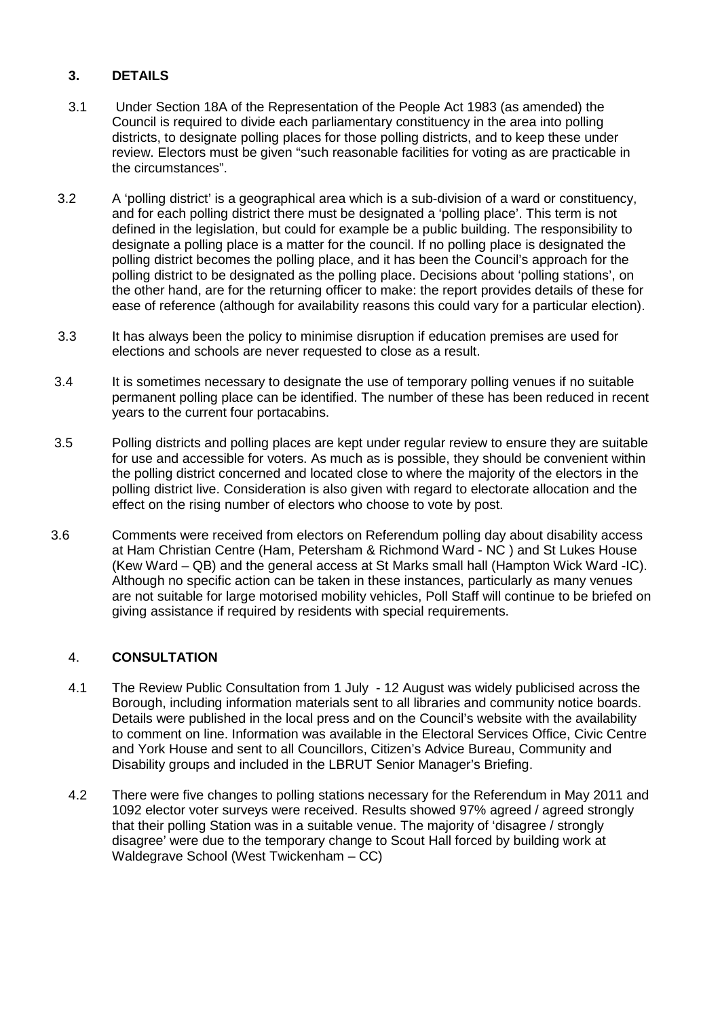# **3. DETAILS**

- 3.1 Under Section 18A of the Representation of the People Act 1983 (as amended) the Council is required to divide each parliamentary constituency in the area into polling districts, to designate polling places for those polling districts, and to keep these under review. Electors must be given "such reasonable facilities for voting as are practicable in the circumstances".
- 3.2 A 'polling district' is a geographical area which is a sub-division of a ward or constituency, and for each polling district there must be designated a 'polling place'. This term is not defined in the legislation, but could for example be a public building. The responsibility to designate a polling place is a matter for the council. If no polling place is designated the polling district becomes the polling place, and it has been the Council's approach for the polling district to be designated as the polling place. Decisions about 'polling stations', on the other hand, are for the returning officer to make: the report provides details of these for ease of reference (although for availability reasons this could vary for a particular election).
- 3.3 It has always been the policy to minimise disruption if education premises are used for elections and schools are never requested to close as a result.
- 3.4 It is sometimes necessary to designate the use of temporary polling venues if no suitable permanent polling place can be identified. The number of these has been reduced in recent years to the current four portacabins.
- 3.5 Polling districts and polling places are kept under regular review to ensure they are suitable for use and accessible for voters. As much as is possible, they should be convenient within the polling district concerned and located close to where the majority of the electors in the polling district live. Consideration is also given with regard to electorate allocation and the effect on the rising number of electors who choose to vote by post.
- 3.6 Comments were received from electors on Referendum polling day about disability access at Ham Christian Centre (Ham, Petersham & Richmond Ward - NC ) and St Lukes House (Kew Ward – QB) and the general access at St Marks small hall (Hampton Wick Ward -IC). Although no specific action can be taken in these instances, particularly as many venues are not suitable for large motorised mobility vehicles, Poll Staff will continue to be briefed on giving assistance if required by residents with special requirements.

### 4. **CONSULTATION**

- 4.1 The Review Public Consultation from 1 July 12 August was widely publicised across the Borough, including information materials sent to all libraries and community notice boards. Details were published in the local press and on the Council's website with the availability to comment on line. Information was available in the Electoral Services Office, Civic Centre and York House and sent to all Councillors, Citizen's Advice Bureau, Community and Disability groups and included in the LBRUT Senior Manager's Briefing.
- 4.2 There were five changes to polling stations necessary for the Referendum in May 2011 and 1092 elector voter surveys were received. Results showed 97% agreed / agreed strongly that their polling Station was in a suitable venue. The majority of 'disagree / strongly disagree' were due to the temporary change to Scout Hall forced by building work at Waldegrave School (West Twickenham – CC)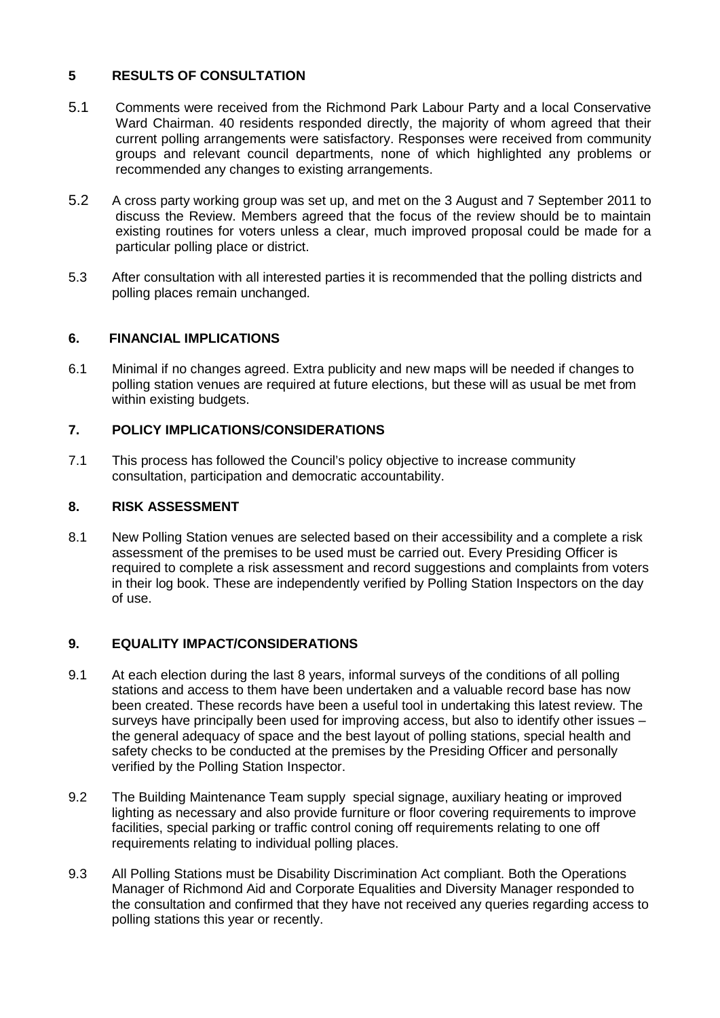# **5 RESULTS OF CONSULTATION**

- 5.1 Comments were received from the Richmond Park Labour Party and a local Conservative Ward Chairman. 40 residents responded directly, the majority of whom agreed that their current polling arrangements were satisfactory. Responses were received from community groups and relevant council departments, none of which highlighted any problems or recommended any changes to existing arrangements.
- 5.2 A cross party working group was set up, and met on the 3 August and 7 September 2011 to discuss the Review. Members agreed that the focus of the review should be to maintain existing routines for voters unless a clear, much improved proposal could be made for a particular polling place or district.
- 5.3 After consultation with all interested parties it is recommended that the polling districts and polling places remain unchanged.

## **6. FINANCIAL IMPLICATIONS**

6.1 Minimal if no changes agreed. Extra publicity and new maps will be needed if changes to polling station venues are required at future elections, but these will as usual be met from within existing budgets.

### **7. POLICY IMPLICATIONS/CONSIDERATIONS**

7.1 This process has followed the Council's policy objective to increase community consultation, participation and democratic accountability.

### **8. RISK ASSESSMENT**

8.1 New Polling Station venues are selected based on their accessibility and a complete a risk assessment of the premises to be used must be carried out. Every Presiding Officer is required to complete a risk assessment and record suggestions and complaints from voters in their log book. These are independently verified by Polling Station Inspectors on the day of use.

### **9. EQUALITY IMPACT/CONSIDERATIONS**

- 9.1 At each election during the last 8 years, informal surveys of the conditions of all polling stations and access to them have been undertaken and a valuable record base has now been created. These records have been a useful tool in undertaking this latest review. The surveys have principally been used for improving access, but also to identify other issues – the general adequacy of space and the best layout of polling stations, special health and safety checks to be conducted at the premises by the Presiding Officer and personally verified by the Polling Station Inspector.
- 9.2 The Building Maintenance Team supply special signage, auxiliary heating or improved lighting as necessary and also provide furniture or floor covering requirements to improve facilities, special parking or traffic control coning off requirements relating to one off requirements relating to individual polling places.
- 9.3 All Polling Stations must be Disability Discrimination Act compliant. Both the Operations Manager of Richmond Aid and Corporate Equalities and Diversity Manager responded to the consultation and confirmed that they have not received any queries regarding access to polling stations this year or recently.